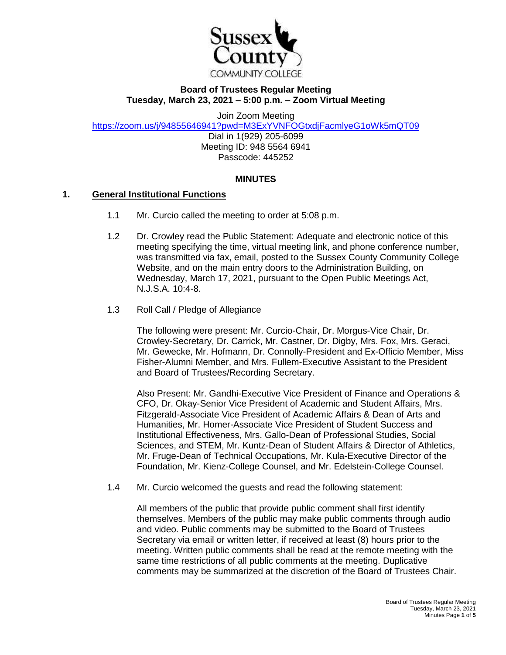

### **Board of Trustees Regular Meeting Tuesday, March 23, 2021 – 5:00 p.m. – Zoom Virtual Meeting**

Join Zoom Meeting

<https://zoom.us/j/94855646941?pwd=M3ExYVNFOGtxdjFacmlyeG1oWk5mQT09>

Dial in 1(929) 205-6099 Meeting ID: 948 5564 6941 Passcode: 445252

#### **MINUTES**

#### **1. General Institutional Functions**

- 1.1 Mr. Curcio called the meeting to order at 5:08 p.m.
- 1.2 Dr. Crowley read the Public Statement: Adequate and electronic notice of this meeting specifying the time, virtual meeting link, and phone conference number, was transmitted via fax, email, posted to the Sussex County Community College Website, and on the main entry doors to the Administration Building, on Wednesday, March 17, 2021, pursuant to the Open Public Meetings Act, N.J.S.A. 10:4-8.
- 1.3 Roll Call / Pledge of Allegiance

The following were present: Mr. Curcio-Chair, Dr. Morgus-Vice Chair, Dr. Crowley-Secretary, Dr. Carrick, Mr. Castner, Dr. Digby, Mrs. Fox, Mrs. Geraci, Mr. Gewecke, Mr. Hofmann, Dr. Connolly-President and Ex-Officio Member, Miss Fisher-Alumni Member, and Mrs. Fullem-Executive Assistant to the President and Board of Trustees/Recording Secretary.

Also Present: Mr. Gandhi-Executive Vice President of Finance and Operations & CFO, Dr. Okay-Senior Vice President of Academic and Student Affairs, Mrs. Fitzgerald-Associate Vice President of Academic Affairs & Dean of Arts and Humanities, Mr. Homer-Associate Vice President of Student Success and Institutional Effectiveness, Mrs. Gallo-Dean of Professional Studies, Social Sciences, and STEM, Mr. Kuntz-Dean of Student Affairs & Director of Athletics, Mr. Fruge-Dean of Technical Occupations, Mr. Kula-Executive Director of the Foundation, Mr. Kienz-College Counsel, and Mr. Edelstein-College Counsel.

1.4 Mr. Curcio welcomed the guests and read the following statement:

All members of the public that provide public comment shall first identify themselves. Members of the public may make public comments through audio and video. Public comments may be submitted to the Board of Trustees Secretary via email or written letter, if received at least (8) hours prior to the meeting. Written public comments shall be read at the remote meeting with the same time restrictions of all public comments at the meeting. Duplicative comments may be summarized at the discretion of the Board of Trustees Chair.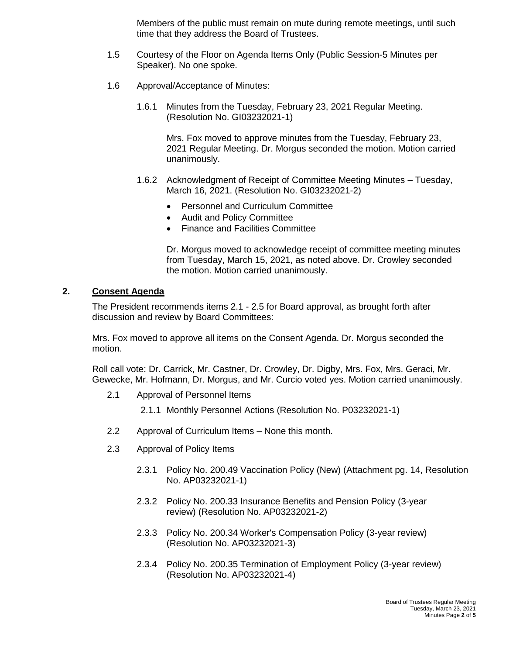Members of the public must remain on mute during remote meetings, until such time that they address the Board of Trustees.

- 1.5 Courtesy of the Floor on Agenda Items Only (Public Session-5 Minutes per Speaker). No one spoke.
- 1.6 Approval/Acceptance of Minutes:
	- 1.6.1 Minutes from the Tuesday, February 23, 2021 Regular Meeting. (Resolution No. GI03232021-1)

Mrs. Fox moved to approve minutes from the Tuesday, February 23, 2021 Regular Meeting. Dr. Morgus seconded the motion. Motion carried unanimously.

- 1.6.2 Acknowledgment of Receipt of Committee Meeting Minutes Tuesday, March 16, 2021. (Resolution No. GI03232021-2)
	- Personnel and Curriculum Committee
	- Audit and Policy Committee
	- Finance and Facilities Committee

Dr. Morgus moved to acknowledge receipt of committee meeting minutes from Tuesday, March 15, 2021, as noted above. Dr. Crowley seconded the motion. Motion carried unanimously.

# **2. Consent Agenda**

The President recommends items 2.1 - 2.5 for Board approval, as brought forth after discussion and review by Board Committees:

Mrs. Fox moved to approve all items on the Consent Agenda. Dr. Morgus seconded the motion.

Roll call vote: Dr. Carrick, Mr. Castner, Dr. Crowley, Dr. Digby, Mrs. Fox, Mrs. Geraci, Mr. Gewecke, Mr. Hofmann, Dr. Morgus, and Mr. Curcio voted yes. Motion carried unanimously.

- 2.1 Approval of Personnel Items
	- 2.1.1 Monthly Personnel Actions (Resolution No. P03232021-1)
- 2.2 Approval of Curriculum Items None this month.
- 2.3 Approval of Policy Items
	- 2.3.1 Policy No. 200.49 Vaccination Policy (New) (Attachment pg. 14, Resolution No. AP03232021-1)
	- 2.3.2 Policy No. 200.33 Insurance Benefits and Pension Policy (3-year review) (Resolution No. AP03232021-2)
	- 2.3.3 Policy No. 200.34 Worker's Compensation Policy (3-year review) (Resolution No. AP03232021-3)
	- 2.3.4 Policy No. 200.35 Termination of Employment Policy (3-year review) (Resolution No. AP03232021-4)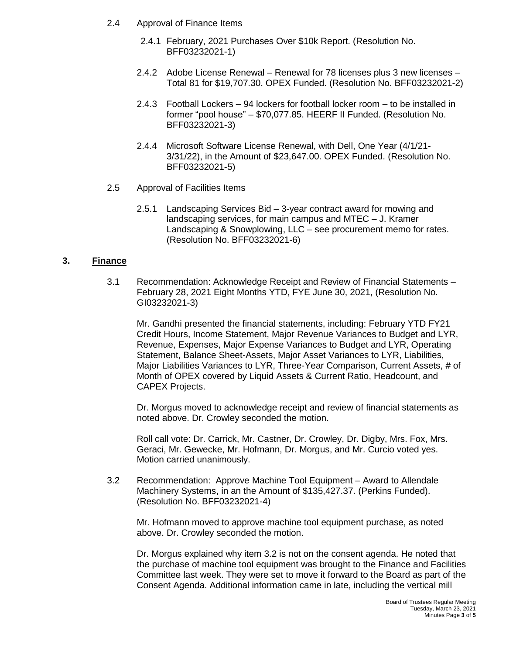- 2.4 Approval of Finance Items
	- 2.4.1 February, 2021 Purchases Over \$10k Report. (Resolution No. BFF03232021-1)
	- 2.4.2 Adobe License Renewal Renewal for 78 licenses plus 3 new licenses Total 81 for \$19,707.30. OPEX Funded. (Resolution No. BFF03232021-2)
	- 2.4.3 Football Lockers 94 lockers for football locker room to be installed in former "pool house" – \$70,077.85. HEERF II Funded. (Resolution No. BFF03232021-3)
	- 2.4.4 Microsoft Software License Renewal, with Dell, One Year (4/1/21- 3/31/22), in the Amount of \$23,647.00. OPEX Funded. (Resolution No. BFF03232021-5)
- 2.5 Approval of Facilities Items
	- 2.5.1 Landscaping Services Bid 3-year contract award for mowing and landscaping services, for main campus and MTEC – J. Kramer Landscaping & Snowplowing, LLC – see procurement memo for rates. (Resolution No. BFF03232021-6)

### **3. Finance**

3.1 Recommendation: Acknowledge Receipt and Review of Financial Statements – February 28, 2021 Eight Months YTD, FYE June 30, 2021, (Resolution No. GI03232021-3)

Mr. Gandhi presented the financial statements, including: February YTD FY21 Credit Hours, Income Statement, Major Revenue Variances to Budget and LYR, Revenue, Expenses, Major Expense Variances to Budget and LYR, Operating Statement, Balance Sheet-Assets, Major Asset Variances to LYR, Liabilities, Major Liabilities Variances to LYR, Three-Year Comparison, Current Assets, # of Month of OPEX covered by Liquid Assets & Current Ratio, Headcount, and CAPEX Projects.

Dr. Morgus moved to acknowledge receipt and review of financial statements as noted above. Dr. Crowley seconded the motion.

Roll call vote: Dr. Carrick, Mr. Castner, Dr. Crowley, Dr. Digby, Mrs. Fox, Mrs. Geraci, Mr. Gewecke, Mr. Hofmann, Dr. Morgus, and Mr. Curcio voted yes. Motion carried unanimously.

3.2 Recommendation: Approve Machine Tool Equipment – Award to Allendale Machinery Systems, in an the Amount of \$135,427.37. (Perkins Funded). (Resolution No. BFF03232021-4)

Mr. Hofmann moved to approve machine tool equipment purchase, as noted above. Dr. Crowley seconded the motion.

Dr. Morgus explained why item 3.2 is not on the consent agenda. He noted that the purchase of machine tool equipment was brought to the Finance and Facilities Committee last week. They were set to move it forward to the Board as part of the Consent Agenda. Additional information came in late, including the vertical mill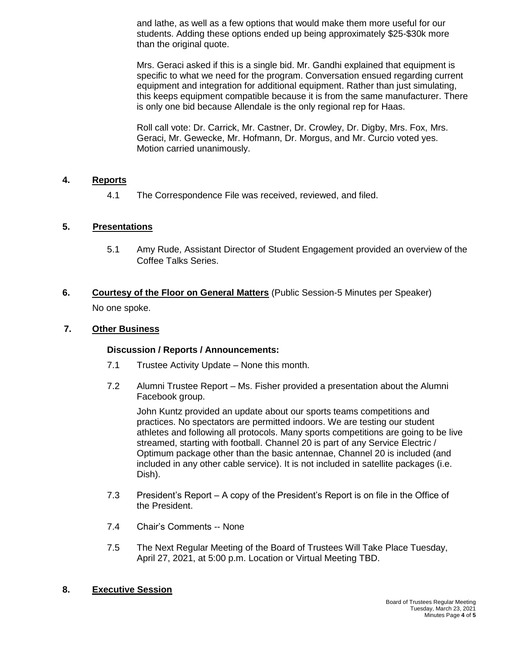and lathe, as well as a few options that would make them more useful for our students. Adding these options ended up being approximately \$25-\$30k more than the original quote.

Mrs. Geraci asked if this is a single bid. Mr. Gandhi explained that equipment is specific to what we need for the program. Conversation ensued regarding current equipment and integration for additional equipment. Rather than just simulating, this keeps equipment compatible because it is from the same manufacturer. There is only one bid because Allendale is the only regional rep for Haas.

Roll call vote: Dr. Carrick, Mr. Castner, Dr. Crowley, Dr. Digby, Mrs. Fox, Mrs. Geraci, Mr. Gewecke, Mr. Hofmann, Dr. Morgus, and Mr. Curcio voted yes. Motion carried unanimously.

# **4. Reports**

4.1 The Correspondence File was received, reviewed, and filed.

# **5. Presentations**

- 5.1 Amy Rude, Assistant Director of Student Engagement provided an overview of the Coffee Talks Series.
- **6. Courtesy of the Floor on General Matters** (Public Session-5 Minutes per Speaker) No one spoke.

### **7. Other Business**

### **Discussion / Reports / Announcements:**

- 7.1 Trustee Activity Update None this month.
- 7.2 Alumni Trustee Report Ms. Fisher provided a presentation about the Alumni Facebook group.

John Kuntz provided an update about our sports teams competitions and practices. No spectators are permitted indoors. We are testing our student athletes and following all protocols. Many sports competitions are going to be live streamed, starting with football. Channel 20 is part of any Service Electric / Optimum package other than the basic antennae, Channel 20 is included (and included in any other cable service). It is not included in satellite packages (i.e. Dish).

- 7.3 President's Report A copy of the President's Report is on file in the Office of the President.
- 7.4 Chair's Comments -- None
- 7.5 The Next Regular Meeting of the Board of Trustees Will Take Place Tuesday, April 27, 2021, at 5:00 p.m. Location or Virtual Meeting TBD.

### **8. Executive Session**